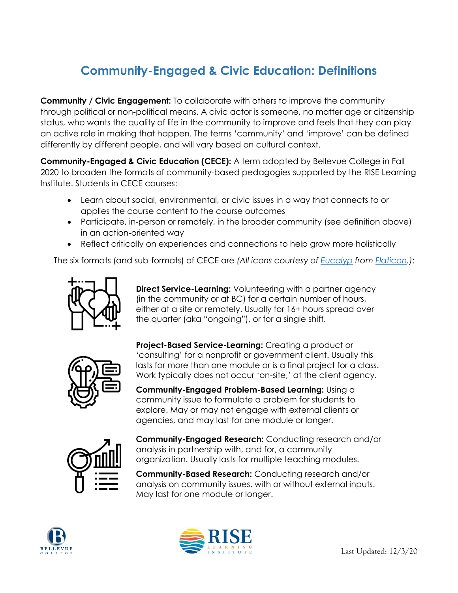## **Community-Engaged & Civic Education: Definitions**

**Community / Civic Engagement:** To collaborate with others to improve the community through political or non-political means. A civic actor is someone, no matter age or citizenship status, who wants the quality of life in the community to improve and feels that they can play an active role in making that happen. The terms 'community' and 'improve' can be defined differently by different people, and will vary based on cultural context.

**Community-Engaged & Civic Education (CECE):** A term adopted by Bellevue College in Fall 2020 to broaden the formats of community-based pedagogies supported by the RISE Learning Institute. Students in CECE courses:

- Learn about social, environmental, or civic issues in a way that connects to or applies the course content to the course outcomes
- Participate, in-person or remotely, in the broader community (see definition above) in an action-oriented way
- Reflect critically on experiences and connections to help grow more holistically

The six formats (and sub-formats) of CECE are *(All icons courtesy of [Eucalyp](https://www.flaticon.com/authors/eucalyp) from [Flaticon.](http://www.flaticon.com/))*:



**Direct Service-Learning:** Volunteering with a partner agency (in the community or at BC) for a certain number of hours, either at a site or remotely. Usually for 16+ hours spread over the quarter (aka "ongoing"), or for a single shift.



**Project-Based Service-Learning:** Creating a product or 'consulting' for a nonprofit or government client. Usually this lasts for more than one module or is a final project for a class. Work typically does not occur 'on-site,' at the client agency.

**Community-Engaged Problem-Based Learning:** Using a community issue to formulate a problem for students to explore. May or may not engage with external clients or agencies, and may last for one module or longer.



**Community-Engaged Research:** Conducting research and/or analysis in partnership with, and for, a community organization. Usually lasts for multiple teaching modules.

**Community-Based Research:** Conducting research and/or analysis on community issues, with or without external inputs. May last for one module or longer.